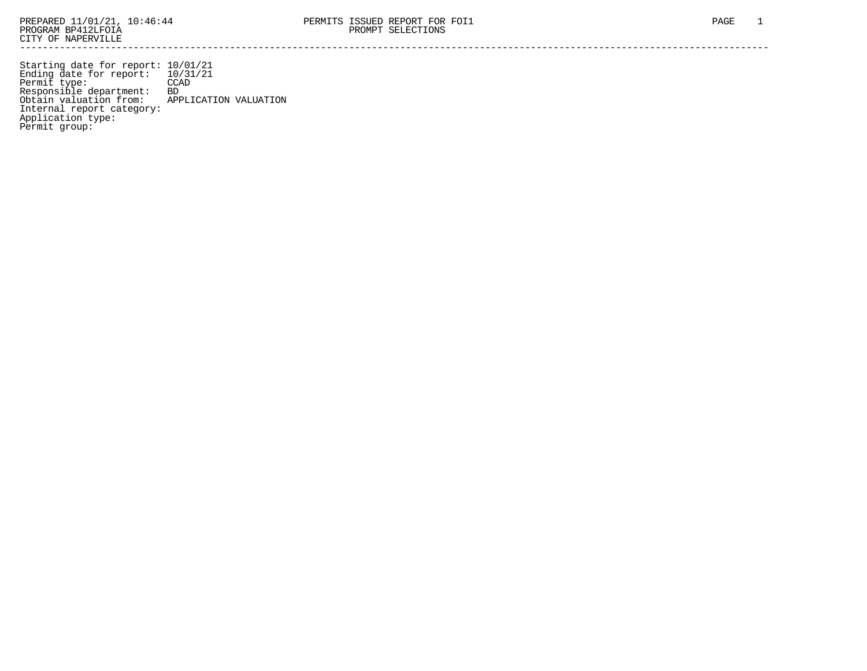Starting date for report: 10/01/21 Ending date for report: 10/31/21 Permit type: CCAD Responsible department: BD Obtain valuation from: APPLICATION VALUATION Internal report category: Application type: Permit group: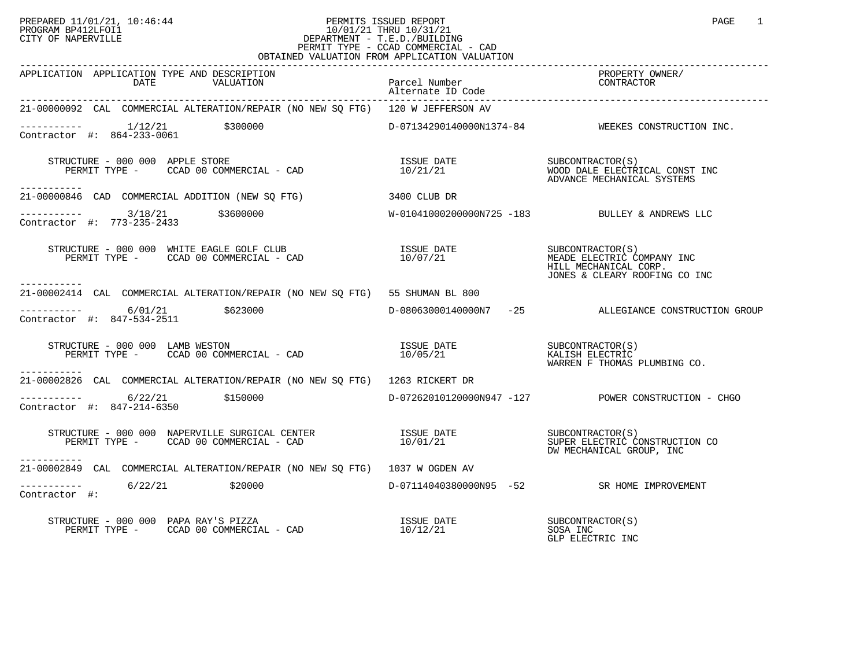#### PREPARED 11/01/21, 10:46:44 PERMITS ISSUED REPORT PAGE 1 PROGRAM BP412LFOI1 10/01/21 THRU 10/31/21 CITY OF NAPERVILLE **Example 20** CITY OF NAPERVILLE PERMIT TYPE - CCAD COMMERCIAL - CAD OBTAINED VALUATION FROM APPLICATION VALUATION

| APPLICATION APPLICATION TYPE AND DESCRIPTION<br>DATE<br>VALUATION                            | Parcel Number<br>Alternate ID Code | PROPERTY OWNER/<br>CONTRACTOR                                                                            |
|----------------------------------------------------------------------------------------------|------------------------------------|----------------------------------------------------------------------------------------------------------|
| 21-00000092 CAL COMMERCIAL ALTERATION/REPAIR (NO NEW SQ FTG) 120 W JEFFERSON AV              |                                    |                                                                                                          |
| $---------$ 1/12/21 \$300000<br>Contractor #: 864-233-0061                                   |                                    | D-07134290140000N1374-84 WEEKES CONSTRUCTION INC.                                                        |
| STRUCTURE - 000 000 APPLE STORE<br>PERMIT TYPE - CCAD 00 COMMERCIAL - CAD<br>-----------     | ISSUE DATE<br>10/21/21             | SUBCONTRACTOR(S)<br>WOOD DALE ELECTRICAL CONST INC<br>ADVANCE MECHANICAL SYSTEMS                         |
| 21-00000846 CAD COMMERCIAL ADDITION (NEW SO FTG)                                             | 3400 CLUB DR                       |                                                                                                          |
| $---------$ 3/18/21 \$3600000<br>Contractor #: 773-235-2433                                  |                                    | $W-01041000200000N725 -183$ BULLEY & ANDREWS LLC                                                         |
| STRUCTURE - 000 000 WHITE EAGLE GOLF CLUB<br>PERMIT TYPE - CCAD 00 COMMERCIAL - CAD          | ISSUE DATE<br>10/07/21             | SUBCONTRACTOR(S)<br>MEADE ELECTRIC COMPANY INC<br>HILL MECHANICAL CORP.<br>JONES & CLEARY ROOFING CO INC |
| -----------<br>21-00002414 CAL COMMERCIAL ALTERATION/REPAIR (NO NEW SO FTG) 55 SHUMAN BL 800 |                                    |                                                                                                          |
| $---------$ 6/01/21 \$623000<br>Contractor #: 847-534-2511                                   |                                    | D-08063000140000N7 -25 ALLEGIANCE CONSTRUCTION GROUP                                                     |
| STRUCTURE - 000 000 LAMB WESTON<br>PERMIT TYPE - CCAD 00 COMMERCIAL - CAD<br>-----------     |                                    | WARREN F THOMAS PLUMBING CO.                                                                             |
| 21-00002826 CAL COMMERCIAL ALTERATION/REPAIR (NO NEW SQ FTG) 1263 RICKERT DR                 |                                    |                                                                                                          |
| $---------$ 6/22/21 \$150000<br>Contractor #: 847-214-6350                                   |                                    | D-07262010120000N947 -127 POWER CONSTRUCTION - CHGO                                                      |
| ------------                                                                                 |                                    | DW MECHANICAL GROUP, INC                                                                                 |
| 21-00002849 CAL COMMERCIAL ALTERATION/REPAIR (NO NEW SQ FTG) 1037 W OGDEN AV                 |                                    |                                                                                                          |
| 6/22/21 \$20000<br>Contractor #:                                                             |                                    | D-07114040380000N95 -52 SR HOME IMPROVEMENT                                                              |
| STRUCTURE - 000 000 PAPA RAY'S PIZZA<br>PERMIT TYPE - CCAD 00 COMMERCIAL - CAD               | ISSUE DATE<br>10/12/21             | SUBCONTRACTOR(S)<br>SOSA INC<br>GLP ELECTRIC INC                                                         |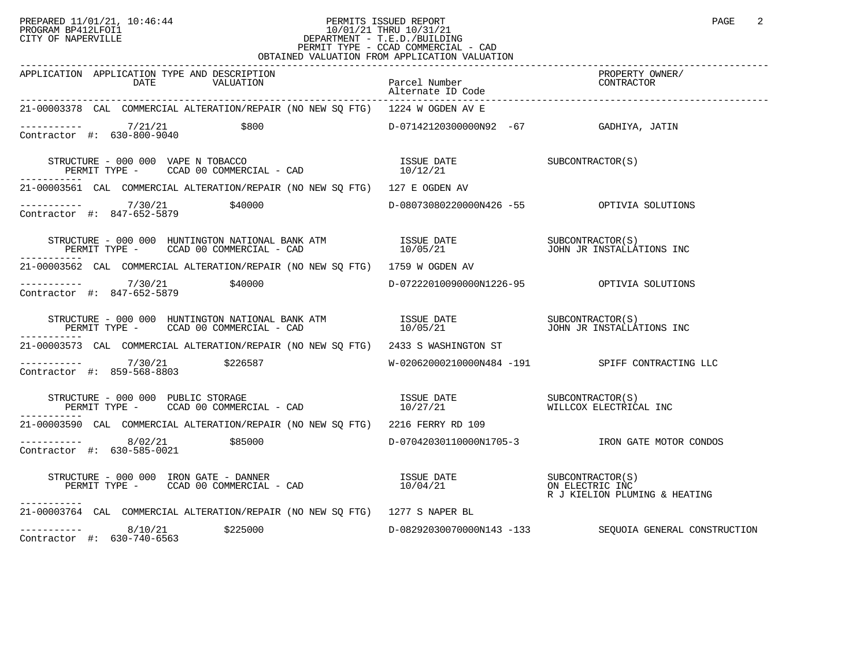### PREPARED 11/01/21, 10:46:44 PERMITS ISSUED REPORT PAGE 2<br>PROGRAM BP412LFOI1 PROGRAM PROGRAM BP412LFOI1 PROGRAM BP412LFOI1 10/01/21 THRU 10/31/21 CITY OF NAPERVILLE **Example 20** CITY OF NAPERVILLE PERMIT TYPE - CCAD COMMERCIAL - CAD OBTAINED VALUATION FROM APPLICATION VALUATION

| APPLICATION APPLICATION TYPE AND DESCRIPTION                                                                                                                                                                                                                                                                                                                                                                                                  |                                            | PROPERTY OWNER/                                        |
|-----------------------------------------------------------------------------------------------------------------------------------------------------------------------------------------------------------------------------------------------------------------------------------------------------------------------------------------------------------------------------------------------------------------------------------------------|--------------------------------------------|--------------------------------------------------------|
| 21-00003378 CAL COMMERCIAL ALTERATION/REPAIR (NO NEW SQ FTG) 1224 W OGDEN AV E                                                                                                                                                                                                                                                                                                                                                                |                                            |                                                        |
| 7/21/21<br>\$800<br>Contractor #: 630-800-9040                                                                                                                                                                                                                                                                                                                                                                                                |                                            |                                                        |
| $\begin{array}{cccc} \texttt{STRUCTURE} & - & 000 & 000 & \texttt{VAPE} & \texttt{TOBACCO} & \texttt{ISSUE} & \texttt{DATE} & \texttt{SUBCONTRACTOR(S)} \\ \texttt{PERMIT TYPE} & - & \texttt{CCAD} & 00 & \texttt{COMMERCIAL} & - & \texttt{CAD} & 10/12/21 & \end{array}$<br>-----------                                                                                                                                                    |                                            |                                                        |
| 21-00003561 CAL COMMERCIAL ALTERATION/REPAIR (NO NEW SQ FTG) 127 E OGDEN AV                                                                                                                                                                                                                                                                                                                                                                   |                                            |                                                        |
| ----------- 7/30/21<br>\$40000<br>Contractor #: 847-652-5879                                                                                                                                                                                                                                                                                                                                                                                  |                                            |                                                        |
| $\begin{array}{cccc} \texttt{STRUCTURE} & - & 000 & 000 & \texttt{HUNTINGTON} & \texttt{NATIONAL} & \texttt{BANK} & \texttt{ATM} & & & & & \texttt{ISSUE} & \texttt{DATE} & & & & & \texttt{SUBCONTRACTOR(S)}\\ \texttt{PERMIT TYPE} & - & & \texttt{CCAD} & 00 & \texttt{COMMERCIAL} & - & \texttt{CAD} & & & & & & 10/05/21 & & & & & & \texttt{JOHN} & \texttt{JOHN} & \texttt{JR} & \texttt{INSTALLATIONS} & \texttt{INC} \\ \end{array}$ |                                            |                                                        |
| 21-00003562 CAL COMMERCIAL ALTERATION/REPAIR (NO NEW SO FTG) 1759 W OGDEN AV                                                                                                                                                                                                                                                                                                                                                                  |                                            |                                                        |
| ----------- 7/30/21<br>\$40000<br>Contractor #: 847-652-5879                                                                                                                                                                                                                                                                                                                                                                                  | D-07222010090000N1226-95 OPTIVIA SOLUTIONS |                                                        |
| $\begin{array}{cccccc} \texttt{STRUCTURE} & - & 000 & 000 & \texttt{HUNTINGTON} \texttt{NATIONAL BANK ATM} & & & & & \texttt{ISSUE} \texttt{DATE} & & & & \texttt{SUBCONTRACTOR(S)}\\ \texttt{PERMIT TYPE} & - & & \texttt{CCAD} & 00 & \texttt{COMMERCIAL} & - & \texttt{CAD} & & & & 10/05/21 & & & & \texttt{JOHN} & \texttt{JOHN JR INSTALLATIONS} \end{array}$                                                                           |                                            |                                                        |
| 21-00003573 CAL COMMERCIAL ALTERATION/REPAIR (NO NEW SQ FTG) 2433 S WASHINGTON ST                                                                                                                                                                                                                                                                                                                                                             |                                            |                                                        |
| $\frac{7}{30/21}$ \$226587<br>Contractor #: 859-568-8803                                                                                                                                                                                                                                                                                                                                                                                      |                                            | W-02062000210000N484 -191 SPIFF CONTRACTING LLC        |
|                                                                                                                                                                                                                                                                                                                                                                                                                                               |                                            |                                                        |
| 21-00003590 CAL COMMERCIAL ALTERATION/REPAIR (NO NEW SQ FTG) 2216 FERRY RD 109                                                                                                                                                                                                                                                                                                                                                                |                                            |                                                        |
| $\frac{8}{2221}$ \$85000<br>Contractor #: 630-585-0021                                                                                                                                                                                                                                                                                                                                                                                        |                                            | D-07042030110000N1705-3 TRON GATE MOTOR CONDOS         |
| $\begin{array}{ccccccccc} \texttt{STRUCTURE} & - & 000 & 000 & \texttt{IRON GATE} & - & \texttt{DANNER} & & & & & & & & \\ \texttt{PERMIT TYPE} & - & & \texttt{CCAD} & 00 & \texttt{COMMERCIAL} & - & \texttt{CAD} & & & & & & & \\ \texttt{PERMIT TYPE} & - & & \texttt{CCAD} & 00 & \texttt{COMMERCIAL} & - & \texttt{CAD} & & & & & & \\ \end{array}$<br>-----------                                                                      |                                            | R J KIELION PLUMING & HEATING                          |
| 21-00003764 CAL COMMERCIAL ALTERATION/REPAIR (NO NEW SQ FTG) 1277 S NAPER BL                                                                                                                                                                                                                                                                                                                                                                  |                                            |                                                        |
| $---------$ 8/10/21 \$225000<br>Contractor #: 630-740-6563                                                                                                                                                                                                                                                                                                                                                                                    |                                            | D-08292030070000N143 -133 SEQUOIA GENERAL CONSTRUCTION |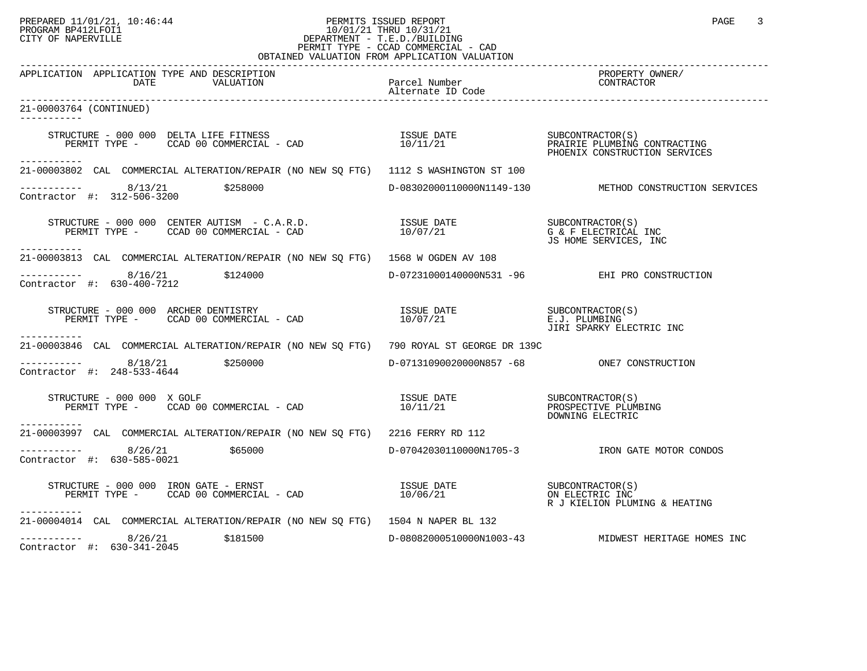# PREPARED 11/01/21, 10:46:44 PERMITS ISSUED REPORT PAGE 3<br>PROGRAM BP412LFOI1 PROGRAM PROGRAM BP412LFOI1 PROGRAM BP412LFOI1 10/01/21 THRU 10/31/21 CITY OF NAPERVILLE **Example 20** CITY OF NAPERVILLE PERMIT TYPE - CCAD COMMERCIAL - CAD

| OBTAINED VALUATION FROM APPLICATION VALUATION                                                                                                                                                                                                                                                            |                                         |                                                        |  |
|----------------------------------------------------------------------------------------------------------------------------------------------------------------------------------------------------------------------------------------------------------------------------------------------------------|-----------------------------------------|--------------------------------------------------------|--|
| APPLICATION APPLICATION TYPE AND DESCRIPTION<br>DATE THE AND DESCRIPTION DATE PACK PART PRESSURE TO MANUS DESCRIPTION DATE DESCRIPTION PACK PART PRESSURE PRESSURE<br>DATE VALUATION Alternate ID Code experiments are alternate in Code                                                                 |                                         | PROPERTY OWNER/                                        |  |
| 21-00003764 (CONTINUED)<br>-----------                                                                                                                                                                                                                                                                   |                                         |                                                        |  |
| $\begin{array}{cccc} \texttt{STRUCTURE} & - & 000 & 000 & \texttt{DELTA LIFE FITNESS} \\ \texttt{PERMIT TYPE} & - & \texttt{CCAD} & 00 & \texttt{COMTERCLAL} & - & \texttt{CAD} \\ \texttt{PERMIT TYPE} & - & \texttt{CCAD} & 00 & \texttt{COMIRECIAL} & - & \texttt{CAD} \\ \end{array}$<br>----------- |                                         |                                                        |  |
| 21-00003802 CAL COMMERCIAL ALTERATION/REPAIR (NO NEW SO FTG) 1112 S WASHINGTON ST 100                                                                                                                                                                                                                    |                                         |                                                        |  |
| $-$ --------- 8/13/21 \$258000<br>Contractor #: 312-506-3200                                                                                                                                                                                                                                             |                                         | D-08302000110000N1149-130 METHOD CONSTRUCTION SERVICES |  |
| ------------                                                                                                                                                                                                                                                                                             |                                         | G & F ELECTRICAL INC<br>JS HOME SERVICES, INC          |  |
| 21-00003813 CAL COMMERCIAL ALTERATION/REPAIR (NO NEW SO FTG) 1568 W OGDEN AV 108                                                                                                                                                                                                                         |                                         |                                                        |  |
| $--------$ 8/16/21 \$124000<br>Contractor #: 630-400-7212                                                                                                                                                                                                                                                |                                         | D-07231000140000N531 -96 EHI PRO CONSTRUCTION          |  |
| STRUCTURE - 000 000 ARCHER DENTISTRY<br>PERMIT TYPE - CCAD 00 COMMERCIAL - CAD 10/07/21 E.J. PLUMBING PERMIT TYPE - CCAD 00 COMMERCIAL - CAD<br>-----------                                                                                                                                              |                                         |                                                        |  |
| 21-00003846 CAL COMMERCIAL ALTERATION/REPAIR (NO NEW SQ FTG) 790 ROYAL ST GEORGE DR 139C                                                                                                                                                                                                                 |                                         |                                                        |  |
| $---------$ 8/18/21 \$250000<br>Contractor #: 248-533-4644                                                                                                                                                                                                                                               |                                         |                                                        |  |
| STRUCTURE - 000 000 X GOLF<br>------------                                                                                                                                                                                                                                                               |                                         | PROSPECTIVE PLUMBING<br>DOWNING ELECTRIC               |  |
| 21-00003997 CAL COMMERCIAL ALTERATION/REPAIR (NO NEW SQ FTG) 2216 FERRY RD 112                                                                                                                                                                                                                           |                                         |                                                        |  |
| $       8/26/21$<br>\$65000<br>Contractor #: 630-585-0021                                                                                                                                                                                                                                                |                                         | D-07042030110000N1705-3 TRON GATE MOTOR CONDOS         |  |
| STRUCTURE - 000 000 IRON GATE - ERNST<br>PERMIT TYPE - CCAD 00 COMMERCIAL - CAD<br>-----------                                                                                                                                                                                                           | ISSUE DATE SUBCONTRACTOR(S)<br>10/06/21 | ON ELECTRIC INC<br>R J KIELION PLUMING & HEATING       |  |
| 21-00004014 CAL COMMERCIAL ALTERATION/REPAIR (NO NEW SO FTG) 1504 N NAPER BL 132                                                                                                                                                                                                                         |                                         |                                                        |  |
| $--------$ 8/26/21<br>\$181500<br>Contractor #: 630-341-2045                                                                                                                                                                                                                                             |                                         | D-08082000510000N1003-43 MIDWEST HERITAGE HOMES INC    |  |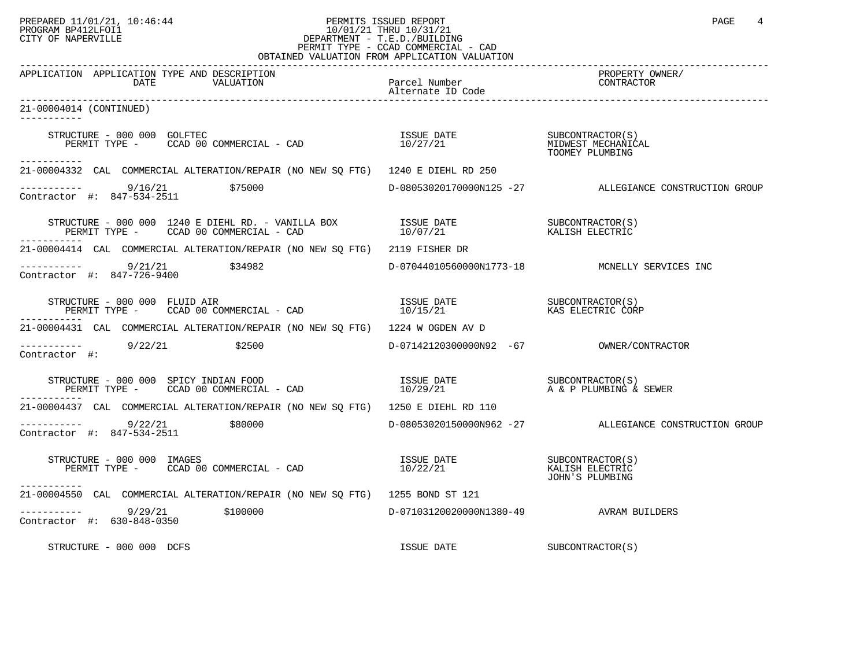# PREPARED 11/01/21, 10:46:44 PERMITS ISSUED REPORT PAGE 4 PROGRAM BP412LFOI1 PROGRAM BP412LFOI1 10/01/21 THRU 10/31/21 CITY OF NAPERVILLE **Example 20** CITY OF NAPERVILLE PERMIT TYPE - CCAD COMMERCIAL - CAD

| OBTAINED VALUATION FROM APPLICATION VALUATION                                                                                                                                                                                                                                                                                                                                                                                                           |                                         |                                                        |  |
|---------------------------------------------------------------------------------------------------------------------------------------------------------------------------------------------------------------------------------------------------------------------------------------------------------------------------------------------------------------------------------------------------------------------------------------------------------|-----------------------------------------|--------------------------------------------------------|--|
| APPLICATION APPLICATION TYPE AND DESCRIPTION<br>DATE<br>VALUATION                                                                                                                                                                                                                                                                                                                                                                                       | .<br>Parcel Number<br>Alternate ID Code | PROPERTY OWNER/<br>CONTRACTOR                          |  |
| 21-00004014 (CONTINUED)<br>-----------                                                                                                                                                                                                                                                                                                                                                                                                                  |                                         |                                                        |  |
| FRUCTURE – 000 000 GOLFTEC (S)<br>PERMIT TYPE – CCAD 00 COMMERCIAL – CAD                                   10/27/21<br>TOOMEY PLUMBING<br>STRUCTURE - 000 000 GOLFTEC                                                                                                                                                                                                                                                                                   |                                         |                                                        |  |
| -----------<br>21-00004332 CAL COMMERCIAL ALTERATION/REPAIR (NO NEW SQ FTG) 1240 E DIEHL RD 250                                                                                                                                                                                                                                                                                                                                                         |                                         |                                                        |  |
| $\frac{1}{2}$ = $\frac{1}{2}$ = $\frac{9}{16/21}$<br>\$75000<br>Contractor #: 847-534-2511                                                                                                                                                                                                                                                                                                                                                              |                                         | D-08053020170000N125 -27 ALLEGIANCE CONSTRUCTION GROUP |  |
|                                                                                                                                                                                                                                                                                                                                                                                                                                                         |                                         | SUBCONTRACTOR (S)<br>KALISH ELECTRIC                   |  |
| 21-00004414 CAL COMMERCIAL ALTERATION/REPAIR (NO NEW SQ FTG) 2119 FISHER DR                                                                                                                                                                                                                                                                                                                                                                             |                                         |                                                        |  |
| $\frac{1}{2}$ $\frac{1}{2}$ $\frac{1}{2}$ $\frac{1}{2}$ $\frac{1}{2}$ $\frac{1}{2}$ $\frac{1}{2}$ $\frac{1}{2}$ $\frac{1}{2}$ $\frac{1}{2}$ $\frac{1}{2}$ $\frac{1}{2}$ $\frac{1}{2}$ $\frac{1}{2}$ $\frac{1}{2}$ $\frac{1}{2}$ $\frac{1}{2}$ $\frac{1}{2}$ $\frac{1}{2}$ $\frac{1}{2}$<br>Contractor #: 847-726-9400                                                                                                                                   |                                         | D-07044010560000N1773-18 MCNELLY SERVICES INC          |  |
| STRUCTURE – 000 000 FLUID AIR<br>PERMIT TYPE – CCAD 00 COMMERCIAL – CAD (20 MINICAL DESSUE DATE ) RESONTRACTOR (S)<br>STRUCTURE - 000 000 FLUID AIR                                                                                                                                                                                                                                                                                                     |                                         | KAS ELECTRIC CORP                                      |  |
| 21-00004431 CAL COMMERCIAL ALTERATION/REPAIR (NO NEW SQ FTG) 1224 W OGDEN AV D                                                                                                                                                                                                                                                                                                                                                                          |                                         |                                                        |  |
| $--------$ 9/22/21 \$2500<br>Contractor #:                                                                                                                                                                                                                                                                                                                                                                                                              |                                         |                                                        |  |
| $\begin{array}{cccccc} \texttt{STRUCTURE} & - & 000 & 000 & \texttt{SPICY} & \texttt{INDIAN} & \texttt{FOOD} & & & \\ \texttt{PERMIT} & \texttt{TYPE} & - & \texttt{CCAD} & 00 & \texttt{COMMERCIAL} & - & \texttt{CAD} & & & \\ \end{array} \qquad \begin{array}{cccccc} \texttt{LSUE} & \texttt{DATE} & & & & \texttt{SUBCONTRACTOR(S)}\\ & 10/29/21 & & & \texttt{A} & \texttt{C} & \texttt{P LUMBING} & \texttt{S} & \texttt{SEWER} \\ \end{array}$ |                                         |                                                        |  |
| 21-00004437 CAL COMMERCIAL ALTERATION/REPAIR (NO NEW SO FTG) 1250 E DIEHL RD 110                                                                                                                                                                                                                                                                                                                                                                        |                                         |                                                        |  |
| $\frac{9}{22/21}$ \$80000<br>ontractor #: 847-534-2511 \$80000<br>Contractor #: 847-534-2511                                                                                                                                                                                                                                                                                                                                                            |                                         | D-08053020150000N962 -27 ALLEGIANCE CONSTRUCTION GROUP |  |
| STRUCTURE - 000 000 IMAGES<br>-----------                                                                                                                                                                                                                                                                                                                                                                                                               |                                         | JOHN'S PLUMBING                                        |  |
| 21-00004550 CAL COMMERCIAL ALTERATION/REPAIR (NO NEW SQ FTG) 1255 BOND ST 121                                                                                                                                                                                                                                                                                                                                                                           |                                         |                                                        |  |
| ----------  9/29/21    \$100000<br>Contractor #: 630-848-0350                                                                                                                                                                                                                                                                                                                                                                                           | D-07103120020000N1380-49 AVRAM BUILDERS |                                                        |  |
| STRUCTURE - 000 000 DCFS                                                                                                                                                                                                                                                                                                                                                                                                                                | ISSUE DATE                              | SUBCONTRACTOR(S)                                       |  |